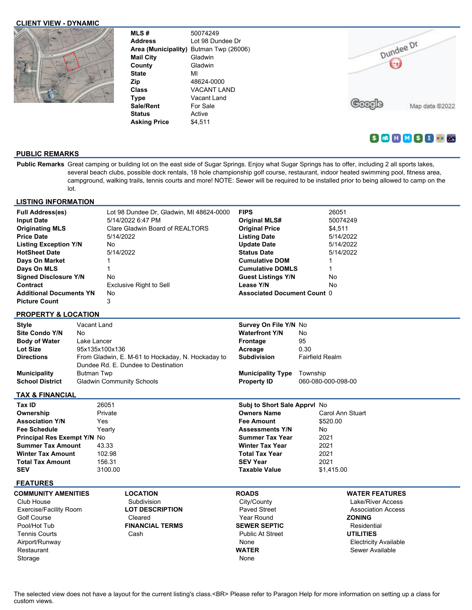### **CLIENT VIEW - DYNAMIC**



**MLS #** 50074249 **Address** Lot 98 Dundee Dr **Area (Municipality)** Butman Twp (26006) **Mail City** Gladwin **County** Gladwin **State** MI **Zip** 48624-0000 **Class** VACANT LAND **Type** Vacant Land Sale/Rent For Sale **Status** Active **Asking Price** \$4,511

Dundee Dr Google Map data @2022

# $S$   $M$   $N$   $S$   $I$   $I$

# **PUBLIC REMARKS**

Public Remarks Great camping or building lot on the east side of Sugar Springs. Enjoy what Sugar Springs has to offer, including 2 all sports lakes, several beach clubs, possible dock rentals, 18 hole championship golf course, restaurant, indoor heated swimming pool, fitness area, campground, walking trails, tennis courts and more! NOTE: Sewer will be required to be installed prior to being allowed to camp on the lot.

### **LISTING INFORMATION**

| <b>Full Address(es)</b>        | Lot 98 Dundee Dr. Gladwin, MI 48624-0000 | <b>FIPS</b>                        | 26051     |
|--------------------------------|------------------------------------------|------------------------------------|-----------|
| <b>Input Date</b>              | 5/14/2022 6:47 PM                        | <b>Original MLS#</b>               | 50074249  |
| <b>Originating MLS</b>         | Clare Gladwin Board of REALTORS          | <b>Original Price</b>              | \$4.511   |
| <b>Price Date</b>              | 5/14/2022                                | <b>Listing Date</b>                | 5/14/2022 |
| <b>Listing Exception Y/N</b>   | No                                       | <b>Update Date</b>                 | 5/14/2022 |
| <b>HotSheet Date</b>           | 5/14/2022                                | <b>Status Date</b>                 | 5/14/2022 |
| Days On Market                 |                                          | <b>Cumulative DOM</b>              |           |
| Days On MLS                    |                                          | <b>Cumulative DOMLS</b>            |           |
| <b>Signed Disclosure Y/N</b>   | No                                       | <b>Guest Listings Y/N</b>          | No        |
| Contract                       | Exclusive Right to Sell                  | Lease Y/N                          | No        |
| <b>Additional Documents YN</b> | No                                       | <b>Associated Document Count 0</b> |           |
| <b>Picture Count</b>           | 3                                        |                                    |           |
| <b>PROPERTY &amp; LOCATION</b> |                                          |                                    |           |

| <b>Style</b>                                  | Vacant Land                                                                              | <b>Survey On File Y/N No</b>                   |                                |
|-----------------------------------------------|------------------------------------------------------------------------------------------|------------------------------------------------|--------------------------------|
| <b>Site Condo Y/N</b>                         | No                                                                                       | <b>Waterfront Y/N</b>                          | No                             |
| <b>Body of Water</b>                          | Lake Lancer                                                                              | Frontage                                       | 95                             |
| <b>Lot Size</b>                               | 95x135x100x136                                                                           | Acreage                                        | 0.30                           |
| <b>Directions</b>                             | From Gladwin, E. M-61 to Hockaday, N. Hockaday to<br>Dundee Rd. E. Dundee to Destination | <b>Subdivision</b>                             | <b>Fairfield Realm</b>         |
| <b>Municipality</b><br><b>School District</b> | <b>Butman Twp</b><br><b>Gladwin Community Schools</b>                                    | <b>Municipality Type</b><br><b>Property ID</b> | Township<br>060-080-000-098-00 |

**TAX & FINANCIAL**

| Tax ID                             | 26051   | <b>Subj to Short Sale Apprvl No.</b> |                  |
|------------------------------------|---------|--------------------------------------|------------------|
| Ownership                          | Private | <b>Owners Name</b>                   | Carol Ann Stuart |
| <b>Association Y/N</b>             | Yes     | <b>Fee Amount</b>                    | \$520.00         |
| <b>Fee Schedule</b>                | Yearly  | <b>Assessments Y/N</b>               | No               |
| <b>Principal Res Exempt Y/N No</b> |         | <b>Summer Tax Year</b>               | 2021             |
| <b>Summer Tax Amount</b>           | 43.33   | <b>Winter Tax Year</b>               | 2021             |
| <b>Winter Tax Amount</b>           | 102.98  | <b>Total Tax Year</b>                | 2021             |
| <b>Total Tax Amount</b>            | 156.31  | <b>SEV Year</b>                      | 2021             |
| <b>SEV</b>                         | 3100.00 | <b>Taxable Value</b>                 | \$1.415.00       |

### **FEATURES**

| <b>COMMUNITY AMENITIES</b>    |
|-------------------------------|
| Club House                    |
| <b>Exercise/Facility Room</b> |
| Golf Course                   |
| Pool/Hot Tub                  |
| <b>Tennis Courts</b>          |
| Airport/Runway                |
| Restaurant                    |
| Storage                       |

Subdivision **LOT DESCRIPTION** Cleared **FINANCIAL TERMS** Cash

**LOCATION**

**ROADS** City/County Paved Street Year Round **SEWER SEPTIC** Public At Street None **WATER**

None

# **WATER FEATURES**

Lake/River Access Association Access **ZONING** Residential **UTILITIES** Electricity Available Sewer Available

The selected view does not have a layout for the current listing's class.<BR> Please refer to Paragon Help for more information on setting up a class for custom views.